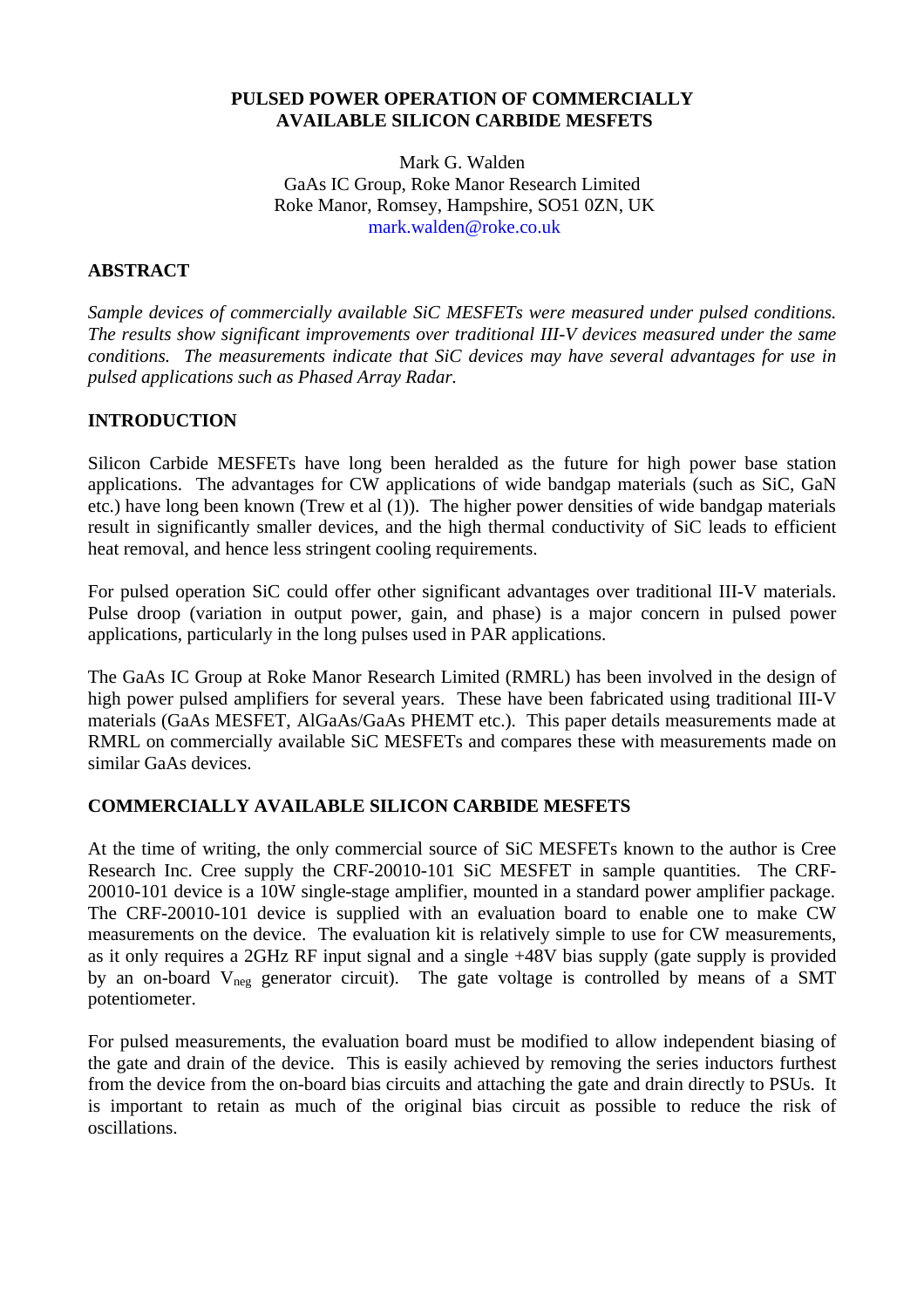#### **PULSED POWER OPERATION OF COMMERCIALLY AVAILABLE SILICON CARBIDE MESFETS**

Mark G. Walden GaAs IC Group, Roke Manor Research Limited Roke Manor, Romsey, Hampshire, SO51 0ZN, UK mark.walden@roke.co.uk

# **ABSTRACT**

*Sample devices of commercially ava[ilable SiC MESFETs were](mailto: mark.walden@roke.co.uk) measured under pulsed conditions. The results show significant improvements over traditional III-V devices measured under the same conditions. The measurements indicate that SiC devices may have several advantages for use in pulsed applications such as Phased Array Radar.*

### **INTRODUCTION**

Silicon Carbide MESFETs have long been heralded as the future for high power base station applications. The advantages for CW applications of wide bandgap materials (such as SiC, GaN etc.) have long been known (Trew et al (1)). The higher power densities of wide bandgap materials result in significantly smaller devices, and the high thermal conductivity of SiC leads to efficient heat removal, and hence less stringent cooling requirements.

For pulsed operation SiC could offer other significant advantages over traditional III-V materials. Pulse droop (variation in output power, gain, and phase) is a major concern in pulsed power applications, particularly in the long pulses used in PAR applications.

The GaAs IC Group at Roke Manor Research Limited (RMRL) has been involved in the design of high power pulsed amplifiers for several years. These have been fabricated using traditional III-V materials (GaAs MESFET, AlGaAs/GaAs PHEMT etc.). This paper details measurements made at RMRL on commercially available SiC MESFETs and compares these with measurements made on similar GaAs devices.

#### **COMMERCIALLY AVAILABLE SILICON CARBIDE MESFETS**

At the time of writing, the only commercial source of SiC MESFETs known to the author is Cree Research Inc. Cree supply the CRF-20010-101 SiC MESFET in sample quantities. The CRF-20010-101 device is a 10W single-stage amplifier, mounted in a standard power amplifier package. The CRF-20010-101 device is supplied with an evaluation board to enable one to make CW measurements on the device. The evaluation kit is relatively simple to use for CW measurements, as it only requires a 2GHz RF input signal and a single +48V bias supply (gate supply is provided by an on-board  $V_{\text{neg}}$  generator circuit). The gate voltage is controlled by means of a SMT potentiometer.

For pulsed measurements, the evaluation board must be modified to allow independent biasing of the gate and drain of the device. This is easily achieved by removing the series inductors furthest from the device from the on-board bias circuits and attaching the gate and drain directly to PSUs. It is important to retain as much of the original bias circuit as possible to reduce the risk of oscillations.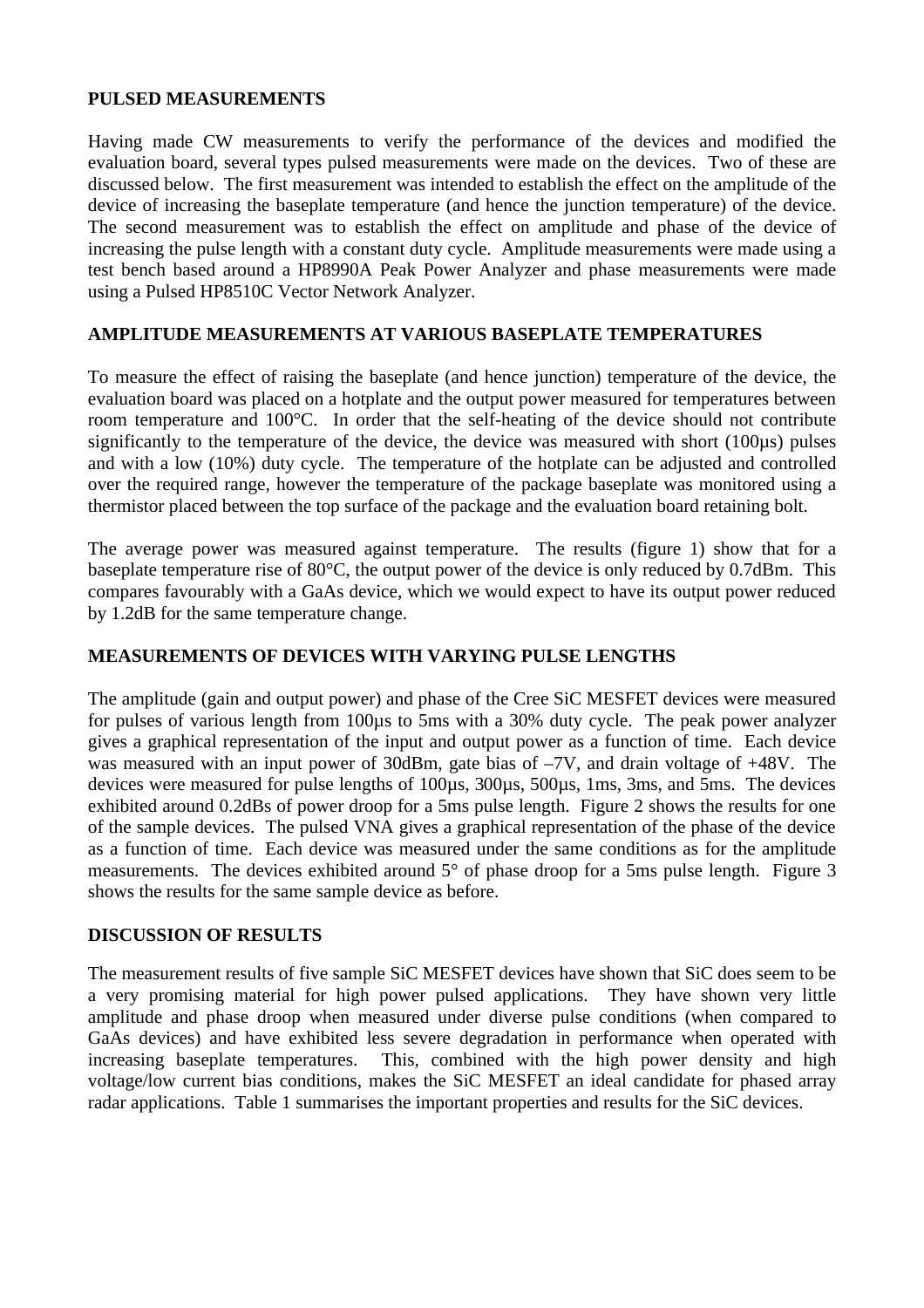### **PULSED MEASUREMENTS**

Having made CW measurements to verify the performance of the devices and modified the evaluation board, several types pulsed measurements were made on the devices. Two of these are discussed below. The first measurement was intended to establish the effect on the amplitude of the device of increasing the baseplate temperature (and hence the junction temperature) of the device. The second measurement was to establish the effect on amplitude and phase of the device of increasing the pulse length with a constant duty cycle. Amplitude measurements were made using a test bench based around a HP8990A Peak Power Analyzer and phase measurements were made using a Pulsed HP8510C Vector Network Analyzer.

### **AMPLITUDE MEASUREMENTS AT VARIOUS BASEPLATE TEMPERATURES**

To measure the effect of raising the baseplate (and hence junction) temperature of the device, the evaluation board was placed on a hotplate and the output power measured for temperatures between room temperature and 100°C. In order that the self-heating of the device should not contribute significantly to the temperature of the device, the device was measured with short (100 $\mu$ s) pulses and with a low (10%) duty cycle. The temperature of the hotplate can be adjusted and controlled over the required range, however the temperature of the package baseplate was monitored using a thermistor placed between the top surface of the package and the evaluation board retaining bolt.

The average power was measured against temperature. The results (figure 1) show that for a baseplate temperature rise of 80°C, the output power of the device is only reduced by 0.7dBm. This compares favourably with a GaAs device, which we would expect to have its output power reduced by 1.2dB for the same temperature change.

# **MEASUREMENTS OF DEVICES WITH VARYING PULSE LENGTHS**

The amplitude (gain and output power) and phase of the Cree SiC MESFET devices were measured for pulses of various length from 100µs to 5ms with a 30% duty cycle. The peak power analyzer gives a graphical representation of the input and output power as a function of time. Each device was measured with an input power of 30dBm, gate bias of  $-7V$ , and drain voltage of  $+48V$ . The devices were measured for pulse lengths of 100µs, 300µs, 500µs, 1ms, 3ms, and 5ms. The devices exhibited around 0.2dBs of power droop for a 5ms pulse length. Figure 2 shows the results for one of the sample devices. The pulsed VNA gives a graphical representation of the phase of the device as a function of time. Each device was measured under the same conditions as for the amplitude measurements. The devices exhibited around 5° of phase droop for a 5ms pulse length. Figure 3 shows the results for the same sample device as before.

#### **DISCUSSION OF RESULTS**

The measurement results of five sample SiC MESFET devices have shown that SiC does seem to be a very promising material for high power pulsed applications. They have shown very little amplitude and phase droop when measured under diverse pulse conditions (when compared to GaAs devices) and have exhibited less severe degradation in performance when operated with increasing baseplate temperatures. This, combined with the high power density and high voltage/low current bias conditions, makes the SiC MESFET an ideal candidate for phased array radar applications. Table 1 summarises the important properties and results for the SiC devices.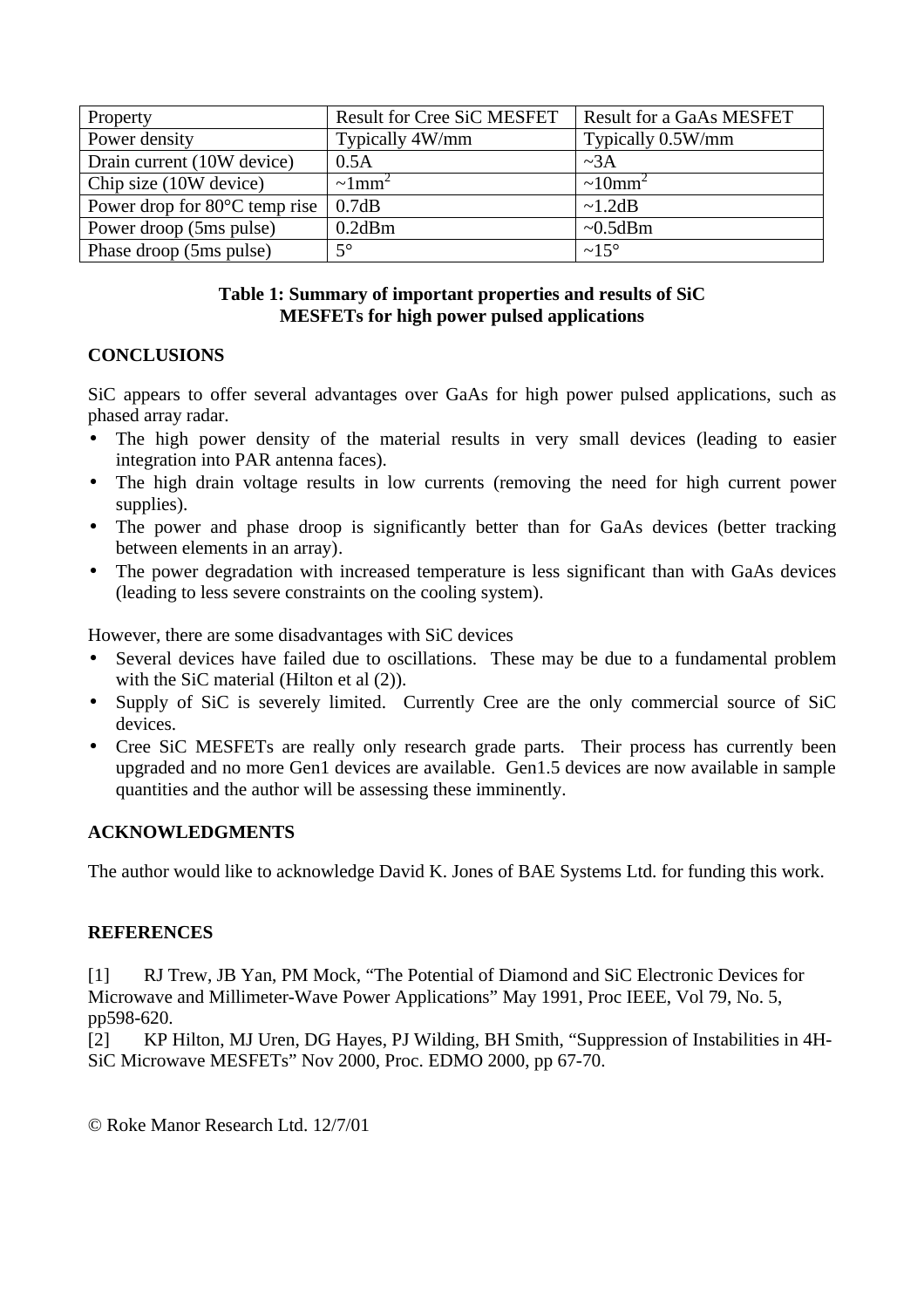| Property                                | <b>Result for Cree SiC MESFET</b> | <b>Result for a GaAs MESFET</b> |
|-----------------------------------------|-----------------------------------|---------------------------------|
| Power density                           | Typically 4W/mm                   | Typically 0.5W/mm               |
| Drain current (10W device)              | 0.5A                              | $\sim 3A$                       |
| Chip size (10W device)                  | $\sim 1$ mm <sup>2</sup>          | $\sim 10$ mm <sup>2</sup>       |
| Power drop for $80^{\circ}$ C temp rise | 0.7dB                             | $\sim$ 1.2dB                    |
| Power droop (5ms pulse)                 | $0.2$ dBm                         | $~10.5$ dBm                     |
| Phase droop (5ms pulse)                 | $5^\circ$                         | $\sim 15^{\circ}$               |

# **Table 1: Summary of important properties and results of SiC MESFETs for high power pulsed applications**

# **CONCLUSIONS**

SiC appears to offer several advantages over GaAs for high power pulsed applications, such as phased array radar.

- The high power density of the material results in very small devices (leading to easier integration into PAR antenna faces).
- The high drain voltage results in low currents (removing the need for high current power supplies).
- The power and phase droop is significantly better than for GaAs devices (better tracking between elements in an array).
- The power degradation with increased temperature is less significant than with GaAs devices (leading to less severe constraints on the cooling system).

However, there are some disadvantages with SiC devices

- Several devices have failed due to oscillations. These may be due to a fundamental problem with the SiC material (Hilton et al  $(2)$ ).
- Supply of SiC is severely limited. Currently Cree are the only commercial source of SiC devices.
- Cree SiC MESFETs are really only research grade parts. Their process has currently been upgraded and no more Gen1 devices are available. Gen1.5 devices are now available in sample quantities and the author will be assessing these imminently.

# **ACKNOWLEDGMENTS**

The author would like to acknowledge David K. Jones of BAE Systems Ltd. for funding this work.

#### **REFERENCES**

[1] RJ Trew, JB Yan, PM Mock, "The Potential of Diamond and SiC Electronic Devices for Microwave and Millimeter-Wave Power Applications" May 1991, Proc IEEE, Vol 79, No. 5, pp598-620.

[2] KP Hilton, MJ Uren, DG Hayes, PJ Wilding, BH Smith, "Suppression of Instabilities in 4H-SiC Microwave MESFETs" Nov 2000, Proc. EDMO 2000, pp 67-70.

© Roke Manor Research Ltd. 12/7/01